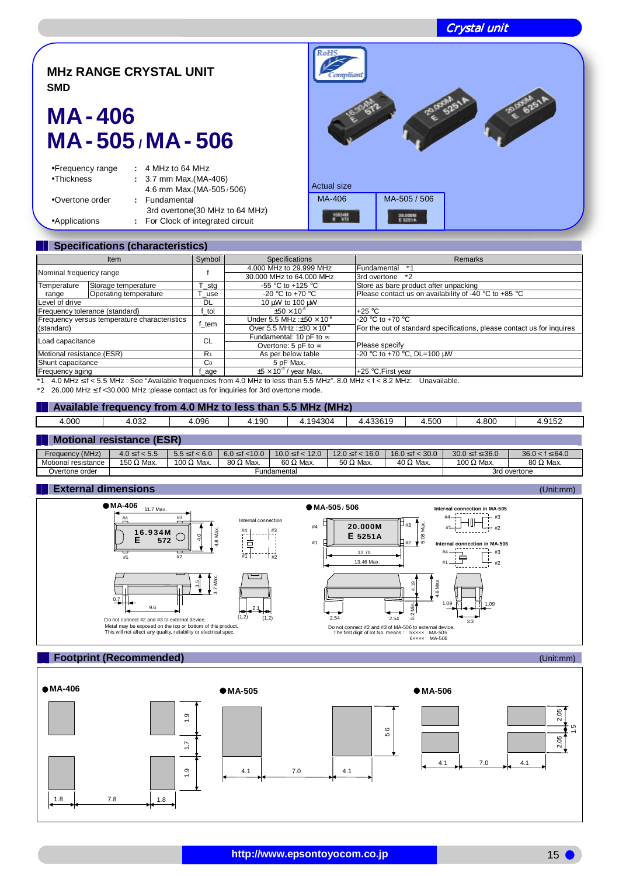Crystal unit

### **MHz RANGE CRYSTAL UNIT SMD**

## **MA- 406 MA- 505 / MA- 506**

| •Frequency range | $: 4$ MHz to 64 MHz               |
|------------------|-----------------------------------|
| •Thickness       | $: 3.7$ mm Max.(MA-406)           |
|                  | 4.6 mm Max.(MA-505/506)           |
| •Overtone order  | : Fundamental                     |
|                  | 3rd overtone (30 MHz to 64 MHz)   |
| •Applications    | : For Clock of integrated circuit |
|                  |                                   |



#### **Specifications (characteristics)**

| <b>Item</b>                                  |                       | Symbol         | <b>Specifications</b>                   | <b>Remarks</b>                                                         |  |  |
|----------------------------------------------|-----------------------|----------------|-----------------------------------------|------------------------------------------------------------------------|--|--|
| Nominal frequency range                      |                       |                | 4.000 MHz to 29.999 MHz                 | Fundamental<br>$*1$                                                    |  |  |
|                                              |                       |                | 30,000 MHz to 64,000 MHz                | 3rd overtone *2                                                        |  |  |
| Temperature                                  | Storage temperature   | sta            | -55 °C to +125 °C                       | Store as bare product after unpacking                                  |  |  |
| range                                        | Operating temperature | use            | $-20$ °C to $+70$ °C                    | Please contact us on availability of -40 °C to +85 °C                  |  |  |
| Level of drive                               |                       | DL             | 10 μW to 100 μW                         |                                                                        |  |  |
| Frequency tolerance (standard)               |                       | tol            | $+50 \times 10^{-6}$                    | $+25 °C$                                                               |  |  |
| Frequency versus temperature characteristics |                       | _tem           | Under 5.5 MHz : $\pm 50 \times 10^{-6}$ | -20 °C to +70 °C                                                       |  |  |
| (standard)                                   |                       |                | Over 5.5 MHz : $\pm 30 \times 10^{-6}$  | For the out of standard specifications, please contact us for inquires |  |  |
| Load capacitance                             |                       | CL             | Fundamental: 10 pF to $\infty$          |                                                                        |  |  |
|                                              |                       |                | Overtone: 5 pF to $\infty$              | Please specify                                                         |  |  |
| Motional resistance (ESR)                    |                       | R <sub>1</sub> | As per below table                      | -20 °C to +70 °C, DL=100 $\mu$ W                                       |  |  |
| Shunt capacitance                            |                       | Co             | 5 pF Max.                               |                                                                        |  |  |
| Frequency aging                              |                       | _age           | $\pm 5 \times 10^{-6}$ / year Max.      | +25 $\degree$ C, First year                                            |  |  |

\*1 4.0 MHz ≤ f < 5.5 MHz : See "Available frequencies from 4.0 MHz to less than 5.5 MHz". 8.0 MHz < f < 8.2 MHz: Unavailable.

\*2 26.000 MHz ≤ f <30.000 MHz :please contact us for inquiries for 3rd overtone mode.

#### **Available frequency from 4.0 MHz to less than 5.5 MHz (MHz)**

| 1.000 | .032<br>. . | 4.096 | 10 <sup>c</sup><br>$\mathbf{v}$<br>. . ک | 94304 | 433619<br>. Д. | $+.500$ | .800 | 4.9152 |
|-------|-------------|-------|------------------------------------------|-------|----------------|---------|------|--------|
|-------|-------------|-------|------------------------------------------|-------|----------------|---------|------|--------|

#### **Motional resistance (ESR)**

| Frequency (MHz)     | $4.0 \le f < 5.5$ | $5.5 \le f < 6.0$ | $6.0 \le f \le 10.0$ | $10.0 \le f < 12.0$ | $\leq 16.0$<br>12.0 < f < | < 30.0<br>$16.0 \le f <$ | $30.0 \le f$<br>36.0 | $36.0 < f \le 64.0$ |
|---------------------|-------------------|-------------------|----------------------|---------------------|---------------------------|--------------------------|----------------------|---------------------|
| Motional resistance | 150 $\Omega$ Max. | 100 $\Omega$ Max. | $80 \Omega$ Max.     | $60 \Omega$ Max.    | 50 $\Omega$ Max.          | 40 $\Omega$ Max.         | 100 $\Omega$ Max.    | $80 \Omega$ Max.    |
| Overtone order      | Fundamental       |                   |                      |                     |                           | 3rd overtone             |                      |                     |



#### **Footprint (Recommended) Contained and Contained and Contained and Contained and Contained and Contained and Contained and Contained and Contained and Contained and Contained and Contained and Contained and Contained and**

● MA-406 **MA-505 MA-506**  2.05  $\frac{1}{2}$ 1.9 1.9 1.7 1.5 5.6  $2.05$  $\overline{1}$ 4.1 7.0 4.1  $\frac{0}{2}$ 4.1 7.0 4.1 1.8 7.8 1.8